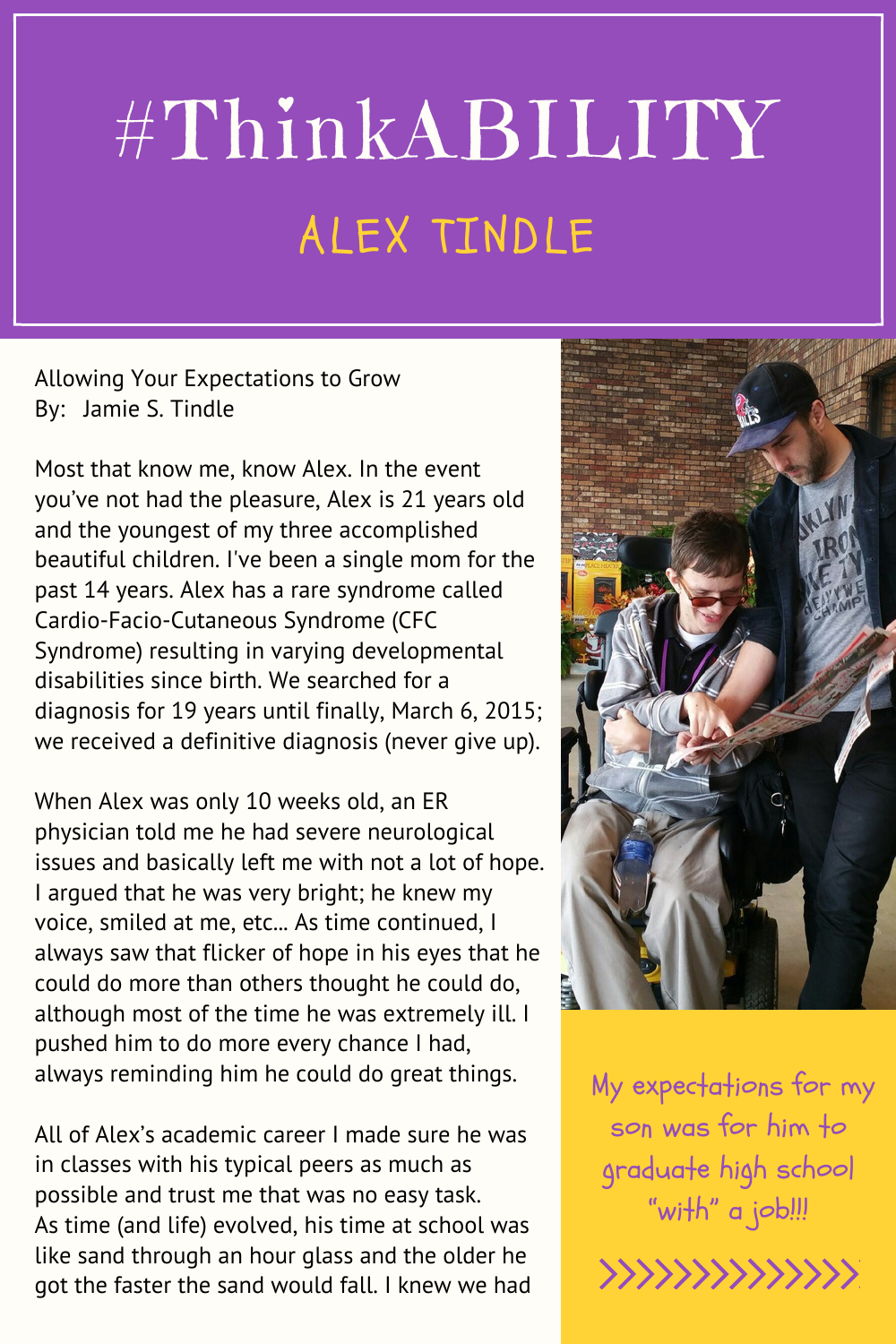## #ThinkABILITY ALEX TINDLE

Allowing Your Expectations to Grow By: Jamie S. Tindle

Most that know me, know Alex. In the event you've not had the pleasure, Alex is 21 years old and the youngest of my three accomplished beautiful children. I've been a single mom for the past 14 years. Alex has a rare syndrome called Cardio-Facio-Cutaneous Syndrome (CFC Syndrome) resulting in varying developmental disabilities since birth. We searched for a diagnosis for 19 years until finally, March 6, 2015; we received a definitive diagnosis (never give up).

When Alex was only 10 weeks old, an ER physician told me he had severe neurological issues and basically left me with not a lot of hope. I argued that he was very bright; he knew my voice, smiled at me, etc... As time continued, I always saw that flicker of hope in his eyes that he could do more than others thought he could do, although most of the time he was extremely ill. I pushed him to do more every chance I had, always reminding him he could do great things.

All of Alex's academic career I made sure he was in classes with his typical peers as much as possible and trust me that was no easy task. As time (and life) evolved, his time at school was like sand through an hour glass and the older he got the faster the sand would fall. I knew we had



My expectations for my son was for him to graduate high school " with" a job!!!

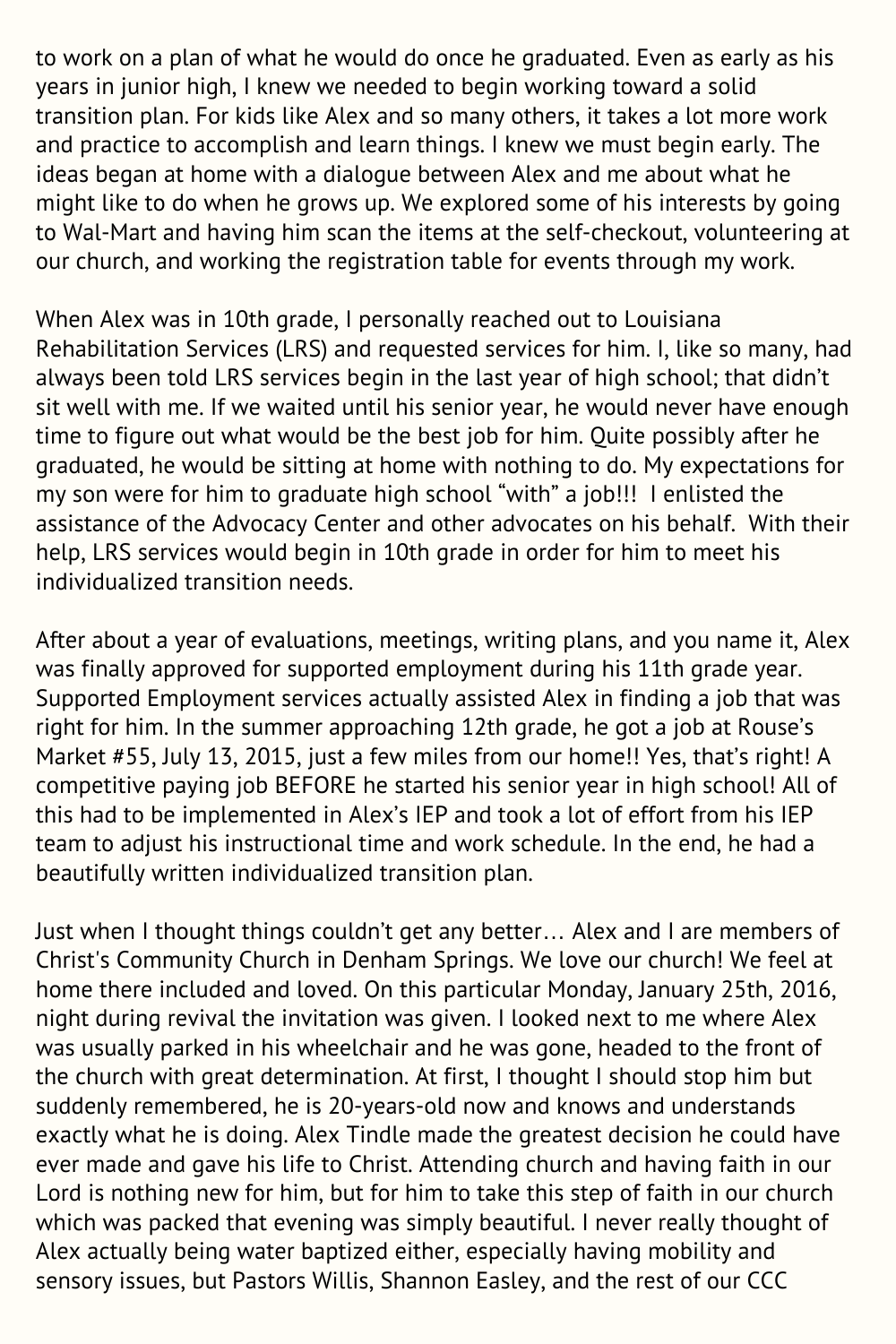to work on a plan of what he would do once he graduated. Even as early as his years in junior high, I knew we needed to begin working toward a solid transition plan. For kids like Alex and so many others, it takes a lot more work and practice to accomplish and learn things. I knew we must begin early. The ideas began at home with a dialogue between Alex and me about what he might like to do when he grows up. We explored some of his interests by going to Wal-Mart and having him scan the items at the self-checkout, volunteering at our church, and working the registration table for events through my work.

When Alex was in 10th grade, I personally reached out to Louisiana Rehabilitation Services (LRS) and requested services for him. I, like so many, had always been told LRS services begin in the last year of high school; that didn't sit well with me. If we waited until his senior year, he would never have enough time to figure out what would be the best job for him. Quite possibly after he graduated, he would be sitting at home with nothing to do. My expectations for my son were for him to graduate high school "with" a job!!! I enlisted the assistance of the Advocacy Center and other advocates on his behalf. With their help, LRS services would begin in 10th grade in order for him to meet his individualized transition needs.

After about a year of evaluations, meetings, writing plans, and you name it, Alex was finally approved for supported employment during his 11th grade year. Supported Employment services actually assisted Alex in finding a job that was right for him. In the summer approaching 12th grade, he got a job at Rouse's Market #55, July 13, 2015, just a few miles from our home!! Yes, that's right! A competitive paying job BEFORE he started his senior year in high school! All of this had to be implemented in Alex's IEP and took a lot of effort from his IEP team to adjust his instructional time and work schedule. In the end, he had a beautifully written individualized transition plan.

Just when I thought things couldn't get any better… Alex and I are members of Christ's Community Church in Denham Springs. We love our church! We feel at home there included and loved. On this particular Monday, January 25th, 2016, night during revival the invitation was given. I looked next to me where Alex was usually parked in his wheelchair and he was gone, headed to the front of the church with great determination. At first, I thought I should stop him but suddenly remembered, he is 20-years-old now and knows and understands exactly what he is doing. Alex Tindle made the greatest decision he could have ever made and gave his life to Christ. Attending church and having faith in our Lord is nothing new for him, but for him to take this step of faith in our church which was packed that evening was simply beautiful. I never really thought of Alex actually being water baptized either, especially having mobility and sensory issues, but Pastors Willis, Shannon Easley, and the rest of our CCC